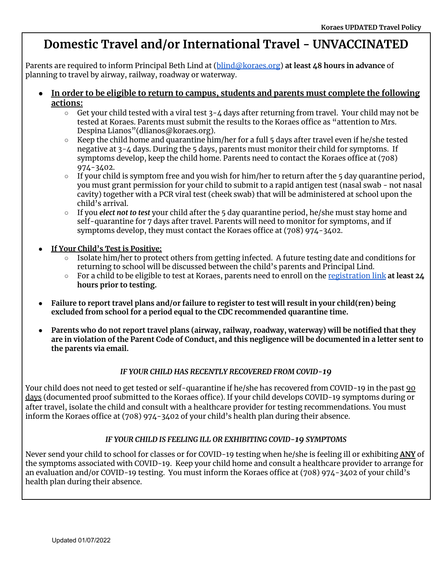# **Domestic Travel and/or International Travel - UNVACCINATED**

Parents are required to inform Principal Beth Lind at ([blind@koraes.org](mailto:blind@koraes.org)) **at least 48 hours in advance** of planning to travel by airway, railway, roadway or waterway.

- **● In order to be eligible to return to campus, students and parents must complete the following actions:**
	- $\circ$  Get your child tested with a viral test  $3 4$  days after returning from travel. Your child may not be tested at Koraes. Parents must submit the results to the Koraes office as "attention to Mrs. Despina Lianos" (dlianos @koraes.org).
	- $\circ$  Keep the child home and quarantine him/her for a full 5 days after travel even if he/she tested negative at 3-4 days. During the 5 days, parents must monitor their child for symptoms. If symptoms develop, keep the child home. Parents need to contact the Koraes office at (708) 974-3402.
	- $\circ$  If your child is symptom free and you wish for him/her to return after the 5 day quarantine period, you must grant permission for your child to submit to a rapid antigen test (nasal swab - not nasal cavity) together with a PCR viral test (cheek swab) that will be administered at school upon the child's arrival.
	- If you *elect not to test* your child after the 5 day quarantine period, he/she must stay home and self-quarantine for 7 days after travel. Parents will need to monitor for symptoms, and if symptoms develop, they must contact the Koraes office at (708) 974-3402.
- **● If Your Child's Test is Positive:**
	- Isolate him/her to protect others from getting infected. A future testing date and conditions for returning to school will be discussed between the child's parents and Principal Lind.
	- For a child to be eligible to test at Koraes, parents need to enroll on the [registration](https://northshoreclinical.jotform.com/212916201864150) link **at least 24 hours prior to testing.**
- Failure to report travel plans and/or failure to register to test will result in your child(ren) being **excluded from school for a period equal to the CDC recommended quarantine time.**
- **● Parents who do not report travel plans (airway, railway, roadway, waterway) will be notified that they** are in violation of the Parent Code of Conduct, and this negligence will be documented in a letter sent to **the parents via email.**

#### *IF YOUR CHILD HAS RECENTLY RECOVERED FROM COVID-19*

Your child does not need to get tested or self-quarantine if he/she has recovered from COVID-19 in the past 90 days (documented proof submitted to the Koraes office). If your child develops COVID-19 symptoms during or after travel, isolate the child and consult with a healthcare provider for testing recommendations. You must inform the Koraes office at (708) 974-3402 of your child's health plan during their absence.

#### *IF YOUR CHILD IS FEELING ILL OR EXHIBITING COVID-19 SYMPTOMS*

Never send your child to school for classes or for COVID-19 testing when he/she is feeling ill or exhibiting **ANY** of the symptoms associated with COVID-19. Keep your child home and consult a healthcare provider to arrange for an evaluation and/or COVID-19 testing. You must inform the Koraes office at (708) 974-3402 of your child's health plan during their absence.